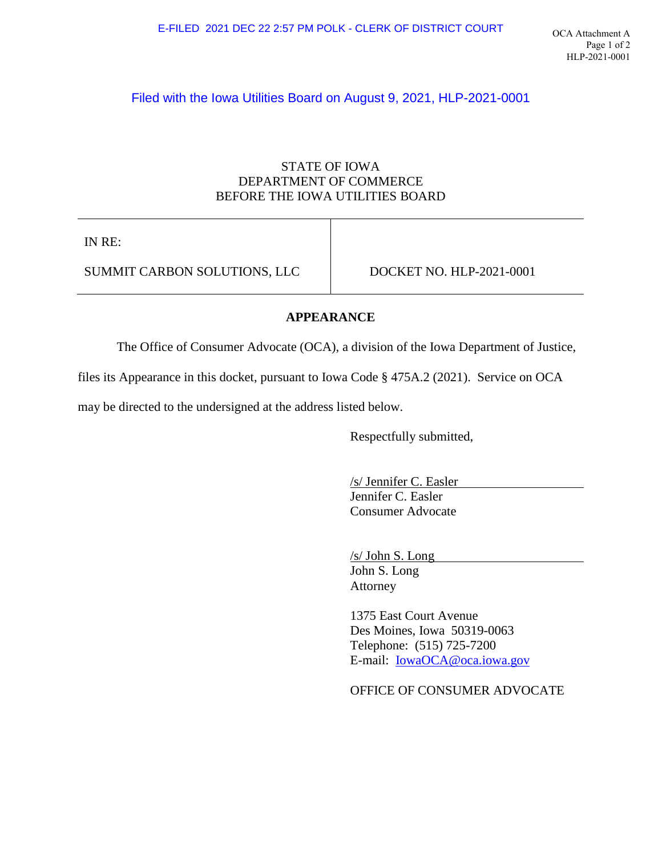# Filed with the Iowa Utilities Board on August 9, 2021, HLP-2021-0001

### STATE OF IOWA DEPARTMENT OF COMMERCE BEFORE THE IOWA UTILITIES BOARD

IN RE:

SUMMIT CARBON SOLUTIONS, LLC DOCKET NO. HLP-2021-0001

#### **APPEARANCE**

The Office of Consumer Advocate (OCA), a division of the Iowa Department of Justice,

files its Appearance in this docket, pursuant to Iowa Code § 475A.2 (2021). Service on OCA

may be directed to the undersigned at the address listed below.

Respectfully submitted,

/s/ Jennifer C. Easler Jennifer C. Easler Consumer Advocate

/s/ John S. Long

John S. [Long](mailto:IowaOCA@oca.iowa.gov)  Attorney

1375 East Court Avenue Des Moines, Iowa 50319-0063 Telephone: (515) 725-7200 E-mail: IowaOCA@oca.iowa.gov

OFFICE OF CONSUMER ADVOCATE